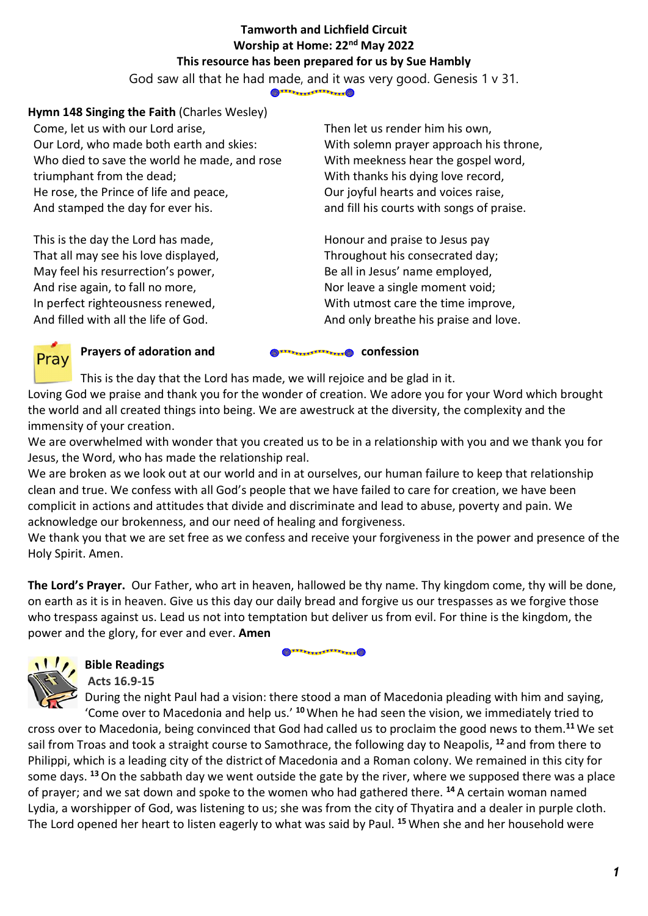# Tamworth and Lichfield Circuit Worship at Home: 22<sup>nd</sup> May 2022 This resource has been prepared for us by Sue Hambly

God saw all that he had made, and it was very good. Genesis 1 v 31.

OTTERWYTTTEWYO

Hymn 148 Singing the Faith (Charles Wesley)

Come, let us with our Lord arise, Our Lord, who made both earth and skies: Who died to save the world he made, and rose triumphant from the dead; He rose, the Prince of life and peace, And stamped the day for ever his.

This is the day the Lord has made, That all may see his love displayed, May feel his resurrection's power, And rise again, to fall no more, In perfect righteousness renewed, And filled with all the life of God.

Then let us render him his own, With solemn prayer approach his throne, With meekness hear the gospel word, With thanks his dying love record, Our joyful hearts and voices raise, and fill his courts with songs of praise.

Honour and praise to Jesus pay Throughout his consecrated day; Be all in Jesus' name employed, Nor leave a single moment void; With utmost care the time improve, And only breathe his praise and love.



Prayers of adoration and **confession** 

This is the day that the Lord has made, we will rejoice and be glad in it.

Loving God we praise and thank you for the wonder of creation. We adore you for your Word which brought the world and all created things into being. We are awestruck at the diversity, the complexity and the immensity of your creation.

We are overwhelmed with wonder that you created us to be in a relationship with you and we thank you for Jesus, the Word, who has made the relationship real.

We are broken as we look out at our world and in at ourselves, our human failure to keep that relationship clean and true. We confess with all God's people that we have failed to care for creation, we have been complicit in actions and attitudes that divide and discriminate and lead to abuse, poverty and pain. We acknowledge our brokenness, and our need of healing and forgiveness.

We thank you that we are set free as we confess and receive your forgiveness in the power and presence of the Holy Spirit. Amen.

The Lord's Prayer. Our Father, who art in heaven, hallowed be thy name. Thy kingdom come, thy will be done, on earth as it is in heaven. Give us this day our daily bread and forgive us our trespasses as we forgive those who trespass against us. Lead us not into temptation but deliver us from evil. For thine is the kingdom, the power and the glory, for ever and ever. Amen



# Bible Readings

OTTERFITTEFFFF

Acts 16.9-15  $^{\sim}$  During the night Paul had a vision: there stood a man of Macedonia pleading with him and saying, 'Come over to Macedonia and help us.' <sup>10</sup> When he had seen the vision, we immediately tried to

cross over to Macedonia, being convinced that God had called us to proclaim the good news to them.<sup>11</sup> We set sail from Troas and took a straight course to Samothrace, the following day to Neapolis, <sup>12</sup> and from there to Philippi, which is a leading city of the district of Macedonia and a Roman colony. We remained in this city for some days. <sup>13</sup> On the sabbath day we went outside the gate by the river, where we supposed there was a place of prayer; and we sat down and spoke to the women who had gathered there. <sup>14</sup> A certain woman named Lydia, a worshipper of God, was listening to us; she was from the city of Thyatira and a dealer in purple cloth. The Lord opened her heart to listen eagerly to what was said by Paul. <sup>15</sup> When she and her household were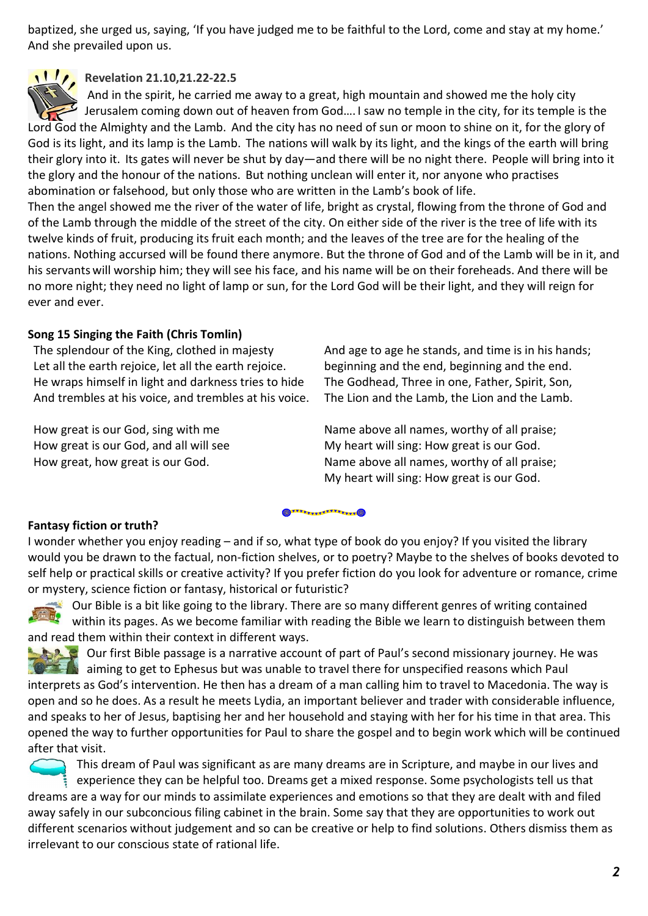baptized, she urged us, saying, 'If you have judged me to be faithful to the Lord, come and stay at my home.' And she prevailed upon us.

# **1/2.** Revelation 21.10,21.22-22.5

And in the spirit, he carried me away to a great, high mountain and showed me the holy city Jerusalem coming down out of heaven from God…. I saw no temple in the city, for its temple is the Lord God the Almighty and the Lamb. And the city has no need of sun or moon to shine on it, for the glory of God is its light, and its lamp is the Lamb. The nations will walk by its light, and the kings of the earth will bring their glory into it. Its gates will never be shut by day—and there will be no night there. People will bring into it the glory and the honour of the nations. But nothing unclean will enter it, nor anyone who practises abomination or falsehood, but only those who are written in the Lamb's book of life.

Then the angel showed me the river of the water of life, bright as crystal, flowing from the throne of God and of the Lamb through the middle of the street of the city. On either side of the river is the tree of life with its twelve kinds of fruit, producing its fruit each month; and the leaves of the tree are for the healing of the nations. Nothing accursed will be found there anymore. But the throne of God and of the Lamb will be in it, and his servants will worship him; they will see his face, and his name will be on their foreheads. And there will be no more night; they need no light of lamp or sun, for the Lord God will be their light, and they will reign for ever and ever.

#### Song 15 Singing the Faith (Chris Tomlin)

The splendour of the King, clothed in majesty Let all the earth rejoice, let all the earth rejoice. He wraps himself in light and darkness tries to hide And trembles at his voice, and trembles at his voice.

How great is our God, sing with me How great is our God, and all will see How great, how great is our God.

And age to age he stands, and time is in his hands; beginning and the end, beginning and the end. The Godhead, Three in one, Father, Spirit, Son, The Lion and the Lamb, the Lion and the Lamb.

Name above all names, worthy of all praise; My heart will sing: How great is our God. Name above all names, worthy of all praise; My heart will sing: How great is our God.

# Fantasy fiction or truth?

I wonder whether you enjoy reading – and if so, what type of book do you enjoy? If you visited the library would you be drawn to the factual, non-fiction shelves, or to poetry? Maybe to the shelves of books devoted to self help or practical skills or creative activity? If you prefer fiction do you look for adventure or romance, crime or mystery, science fiction or fantasy, historical or futuristic?

OVALLATIVATIVATIO



Our Bible is a bit like going to the library. There are so many different genres of writing contained within its pages. As we become familiar with reading the Bible we learn to distinguish between them and read them within their context in different ways.

**C** Our first Bible passage is a narrative account of part of Paul's second missionary journey. He was aiming to get to Ephesus but was unable to travel there for unspecified reasons which Paul interprets as God's intervention. He then has a dream of a man calling him to travel to Macedonia. The way is open and so he does. As a result he meets Lydia, an important believer and trader with considerable influence, and speaks to her of Jesus, baptising her and her household and staying with her for his time in that area. This opened the way to further opportunities for Paul to share the gospel and to begin work which will be continued after that visit.

This dream of Paul was significant as are many dreams are in Scripture, and maybe in our lives and experience they can be helpful too. Dreams get a mixed response. Some psychologists tell us that dreams are a way for our minds to assimilate experiences and emotions so that they are dealt with and filed away safely in our subconcious filing cabinet in the brain. Some say that they are opportunities to work out different scenarios without judgement and so can be creative or help to find solutions. Others dismiss them as irrelevant to our conscious state of rational life.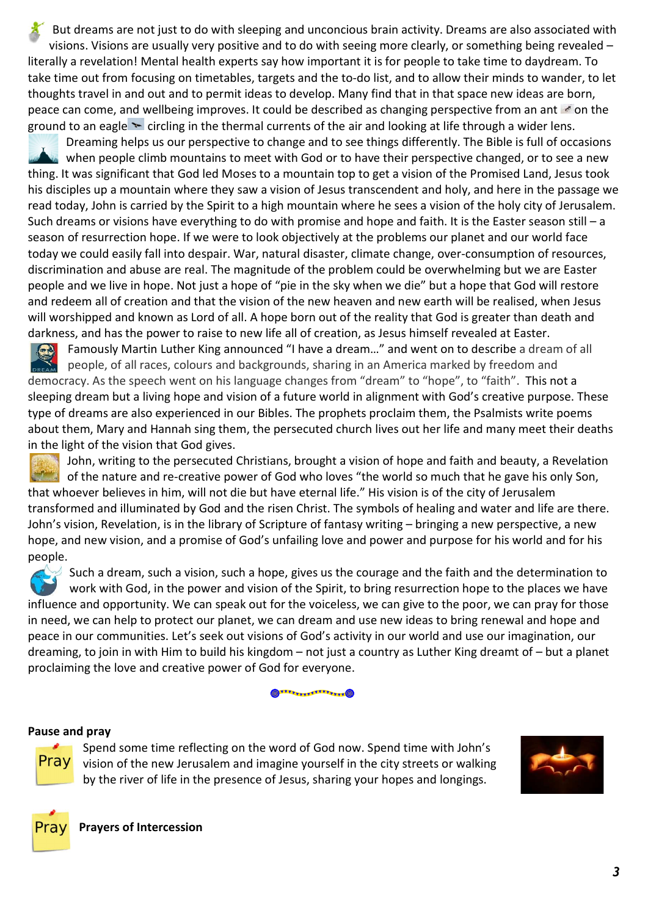But dreams are not just to do with sleeping and unconcious brain activity. Dreams are also associated with visions. Visions are usually very positive and to do with seeing more clearly, or something being revealed – literally a revelation! Mental health experts say how important it is for people to take time to daydream. To take time out from focusing on timetables, targets and the to-do list, and to allow their minds to wander, to let thoughts travel in and out and to permit ideas to develop. Many find that in that space new ideas are born, peace can come, and wellbeing improves. It could be described as changing perspective from an ant on the ground to an eagle  $\sim$  circling in the thermal currents of the air and looking at life through a wider lens.

Dreaming helps us our perspective to change and to see things differently. The Bible is full of occasions when people climb mountains to meet with God or to have their perspective changed, or to see a new thing. It was significant that God led Moses to a mountain top to get a vision of the Promised Land, Jesus took his disciples up a mountain where they saw a vision of Jesus transcendent and holy, and here in the passage we read today, John is carried by the Spirit to a high mountain where he sees a vision of the holy city of Jerusalem. Such dreams or visions have everything to do with promise and hope and faith. It is the Easter season still – a season of resurrection hope. If we were to look objectively at the problems our planet and our world face today we could easily fall into despair. War, natural disaster, climate change, over-consumption of resources, discrimination and abuse are real. The magnitude of the problem could be overwhelming but we are Easter people and we live in hope. Not just a hope of "pie in the sky when we die" but a hope that God will restore and redeem all of creation and that the vision of the new heaven and new earth will be realised, when Jesus will worshipped and known as Lord of all. A hope born out of the reality that God is greater than death and darkness, and has the power to raise to new life all of creation, as Jesus himself revealed at Easter.

 $\left( -\right)$ Famously Martin Luther King announced "I have a dream…" and went on to describe a dream of all people, of all races, colours and backgrounds, sharing in an America marked by freedom and democracy. As the speech went on his language changes from "dream" to "hope", to "faith". This not a sleeping dream but a living hope and vision of a future world in alignment with God's creative purpose. These type of dreams are also experienced in our Bibles. The prophets proclaim them, the Psalmists write poems about them, Mary and Hannah sing them, the persecuted church lives out her life and many meet their deaths in the light of the vision that God gives.

John, writing to the persecuted Christians, brought a vision of hope and faith and beauty, a Revelation of the nature and re-creative power of God who loves "the world so much that he gave his only Son, that whoever believes in him, will not die but have eternal life." His vision is of the city of Jerusalem transformed and illuminated by God and the risen Christ. The symbols of healing and water and life are there. John's vision, Revelation, is in the library of Scripture of fantasy writing – bringing a new perspective, a new hope, and new vision, and a promise of God's unfailing love and power and purpose for his world and for his people.

 $\mathcal{D}$  Such a dream, such a vision, such a hope, gives us the courage and the faith and the determination to work with God, in the power and vision of the Spirit, to bring resurrection hope to the places we have influence and opportunity. We can speak out for the voiceless, we can give to the poor, we can pray for those in need, we can help to protect our planet, we can dream and use new ideas to bring renewal and hope and peace in our communities. Let's seek out visions of God's activity in our world and use our imagination, our dreaming, to join in with Him to build his kingdom – not just a country as Luther King dreamt of – but a planet proclaiming the love and creative power of God for everyone.

#### Pause and pray

Spend some time reflecting on the word of God now. Spend time with John's Pray vision of the new Jerusalem and imagine yourself in the city streets or walking by the river of life in the presence of Jesus, sharing your hopes and longings.